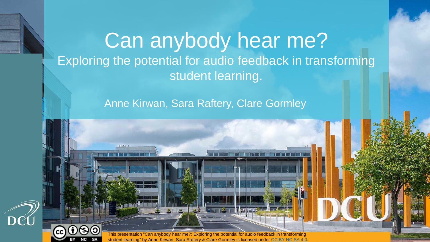#### Can anybody hear me? Exploring the potential for audio feedback in transforming student learning.

#### Anne Kirwan, Sara Raftery, Clare Gormley

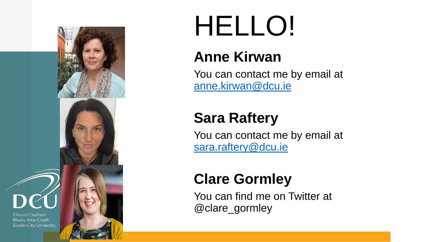

## HELLO!

#### **Anne Kirwan**

You can contact me by email at [anne.kirwan@dcu.ie](mailto:anne.kirwan@dcu.ie)

#### **Sara Raftery**

You can contact me by email at [sara.raftery@dcu.ie](mailto:sara.raftery@dcu.ie)

#### **Clare Gormley**

You can find me on Twitter at @clare\_gormley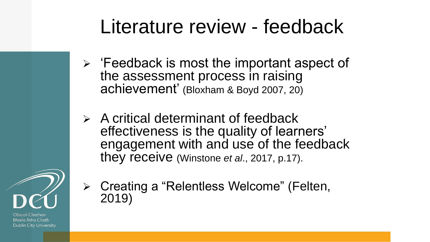#### Literature review - feedback

- $\triangleright$  'Feedback is most the important aspect of the assessment process in raising achievement' (Bloxham & Boyd 2007, 20)
- $\triangleright$  A critical determinant of feedback effectiveness is the quality of learners' engagement with and use of the feedback they receive (Winstone *et al*., 2017, p.17).



Ollscoil Chathair Bhaile Átha Cliath **Dublin City University**  ➢ Creating a "Relentless Welcome" (Felten, 2019)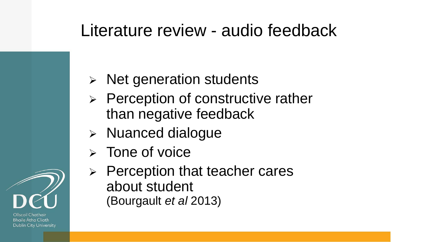#### Literature review - audio feedback

- ➢ Net generation students
- $\triangleright$  Perception of constructive rather than negative feedback
- ➢ Nuanced dialogue
- ➢ Tone of voice
- ➢ Perception that teacher cares about student (Bourgault *et al* 2013)

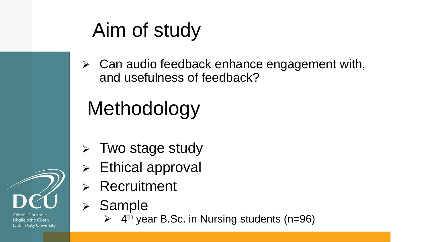## Aim of study

 $\triangleright$  Can audio feedback enhance engagement with, and usefulness of feedback?

## Methodology

- ➢ Two stage study
- ➢ Ethical approval
- **Recruitment**
- **Sample** 
	- ➢ 4 th year B.Sc. in Nursing students (n=96)

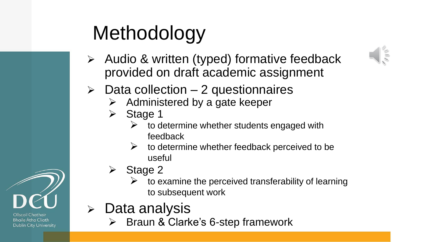## Methodology

- ➢ Audio & written (typed) formative feedback provided on draft academic assignment
- $\triangleright$  Data collection 2 questionnaires
	- $\triangleright$  Administered by a gate keeper
	- ➢ Stage 1
		- $\triangleright$  to determine whether students engaged with feedback
		- $\triangleright$  to determine whether feedback perceived to be useful
	- ➢ Stage 2
		- to examine the perceived transferability of learning to subsequent work
- ➢ Data analysis
	- Braun & Clarke's 6-step framework



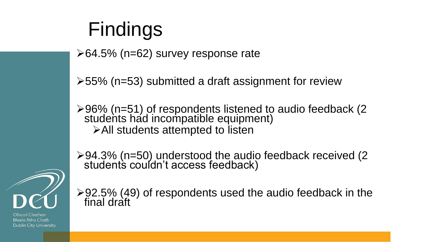## Findings

➢64.5% (n=62) survey response rate

➢55% (n=53) submitted a draft assignment for review

➢96% (n=51) of respondents listened to audio feedback (2 students had incompatible equipment) ➢All students attempted to listen

➢94.3% (n=50) understood the audio feedback received (2 students couldn't access feedback)



 $\geq$  92.5% (49) of respondents used the audio feedback in the final draft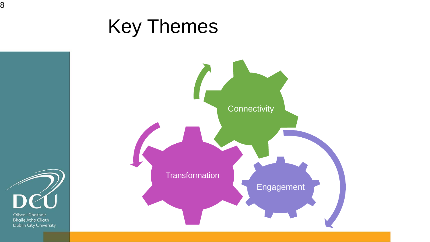#### Key Themes





8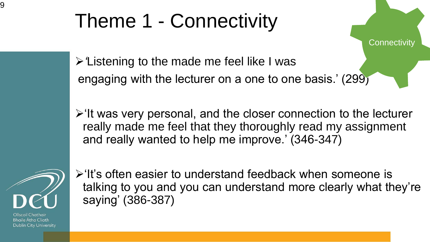## Theme 1 - Connectivity

➢*'*Listening to the made me feel like I was engaging with the lecturer on a one to one basis.' (299)

➢'It was very personal, and the closer connection to the lecturer really made me feel that they thoroughly read my assignment and really wanted to help me improve.' (346-347)

**Connectivity** 



➢'It's often easier to understand feedback when someone is talking to you and you can understand more clearly what they're saying' (386-387)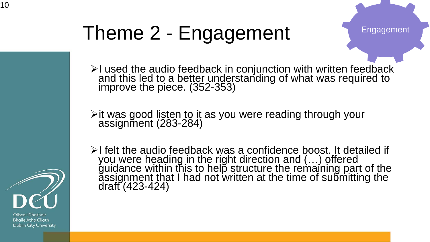## Theme 2 - Engagement

Engagement

➢I used the audio feedback in conjunction with written feedback and this led to a better understanding of what was required to improve the piece. (352-353)

➢it was good listen to it as you were reading through your assignment (283-284)

➢I felt the audio feedback was a confidence boost. It detailed if you were heading in the right direction and (…) offered guidance within this to help structure the remaining part of the assignment that I had not written at the time of submitting the draft (423-424)

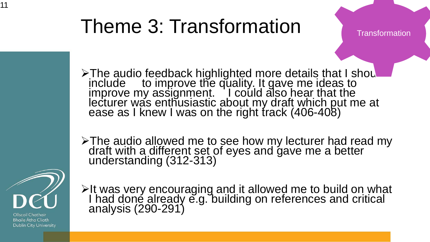### Theme 3: Transformation

**Transformation** 

> The audio feedback highlighted more details that I shou include to improve the quality. It gave me ideas to improve my assignment. I could also hear that the lecturer was enthusiastic about my draft which put me at ease as I knew I was on the right track (406-408)

➢The audio allowed me to see how my lecturer had read my draft with a different set of eyes and gave me a better understanding (312-313)



11

Ollscoil Chathair **Bhaile Átha Cliath Dublin City University**  ➢It was very encouraging and it allowed me to build on what I had done already e.g. building on references and critical analysis (290-291)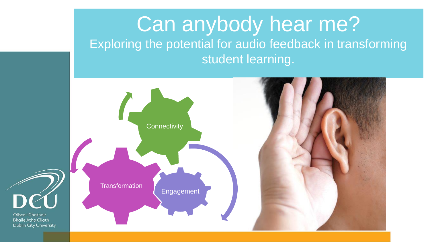#### Can anybody hear me? Exploring the potential for audio feedback in transforming student learning.

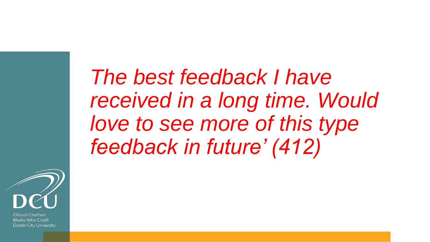*The best feedback I have received in a long time. Would love to see more of this type feedback in future' (412)*

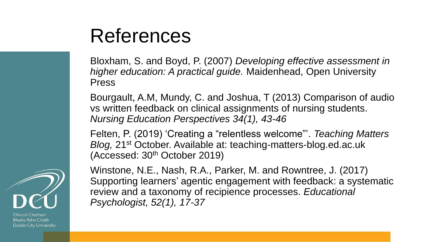#### References

Bloxham, S. and Boyd, P. (2007) *Developing effective assessment in higher education: A practical guide.* Maidenhead, Open University Press

Bourgault, A.M, Mundy, C. and Joshua, T (2013) Comparison of audio vs written feedback on clinical assignments of nursing students. *Nursing Education Perspectives 34(1), 43-46*

Felten, P. (2019) 'Creating a "relentless welcome"'. *Teaching Matters Blog,* 21st October. Available at: teaching-matters-blog.ed.ac.uk (Accessed: 30th October 2019)



Ollscoil Chathair **Bhaile Atha Cliath Dublin City University** 

Winstone, N.E., Nash, R.A., Parker, M. and Rowntree, J. (2017) Supporting learners' agentic engagement with feedback: a systematic review and a taxonomy of recipience processes. *Educational Psychologist, 52(1), 17-37*